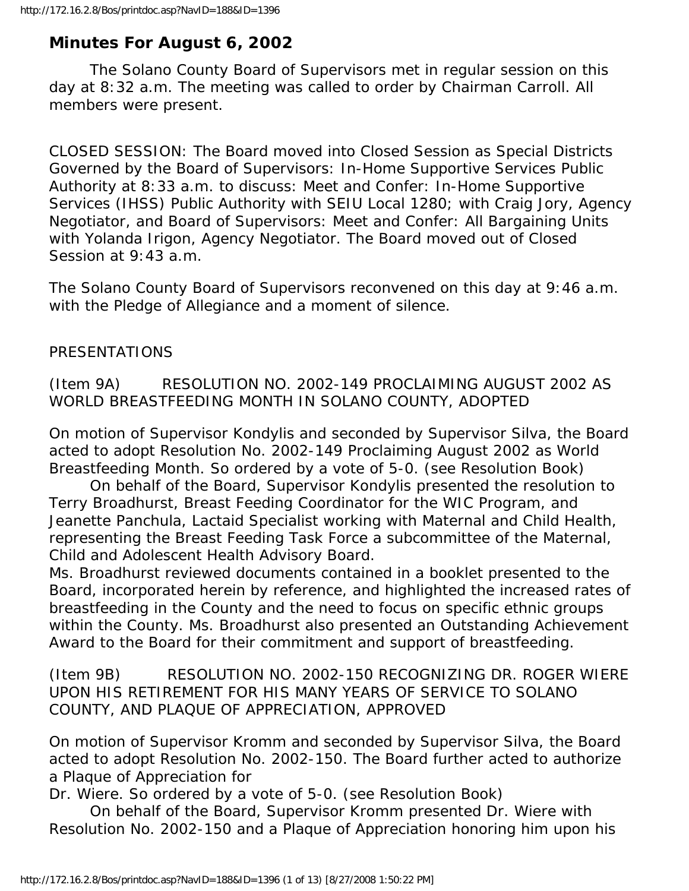# **Minutes For August 6, 2002**

 The Solano County Board of Supervisors met in regular session on this day at 8:32 a.m. The meeting was called to order by Chairman Carroll. All members were present.

CLOSED SESSION: The Board moved into Closed Session as Special Districts Governed by the Board of Supervisors: In-Home Supportive Services Public Authority at 8:33 a.m. to discuss: Meet and Confer: In-Home Supportive Services (IHSS) Public Authority with SEIU Local 1280; with Craig Jory, Agency Negotiator, and Board of Supervisors: Meet and Confer: All Bargaining Units with Yolanda Irigon, Agency Negotiator. The Board moved out of Closed Session at 9:43 a.m.

The Solano County Board of Supervisors reconvened on this day at 9:46 a.m. with the Pledge of Allegiance and a moment of silence.

### PRESENTATIONS

(Item 9A) RESOLUTION NO. 2002-149 PROCLAIMING AUGUST 2002 AS WORLD BREASTFEEDING MONTH IN SOLANO COUNTY, ADOPTED

On motion of Supervisor Kondylis and seconded by Supervisor Silva, the Board acted to adopt Resolution No. 2002-149 Proclaiming August 2002 as World Breastfeeding Month. So ordered by a vote of 5-0. (see Resolution Book)

 On behalf of the Board, Supervisor Kondylis presented the resolution to Terry Broadhurst, Breast Feeding Coordinator for the WIC Program, and Jeanette Panchula, Lactaid Specialist working with Maternal and Child Health, representing the Breast Feeding Task Force a subcommittee of the Maternal, Child and Adolescent Health Advisory Board.

Ms. Broadhurst reviewed documents contained in a booklet presented to the Board, incorporated herein by reference, and highlighted the increased rates of breastfeeding in the County and the need to focus on specific ethnic groups within the County. Ms. Broadhurst also presented an Outstanding Achievement Award to the Board for their commitment and support of breastfeeding.

(Item 9B) RESOLUTION NO. 2002-150 RECOGNIZING DR. ROGER WIERE UPON HIS RETIREMENT FOR HIS MANY YEARS OF SERVICE TO SOLANO COUNTY, AND PLAQUE OF APPRECIATION, APPROVED

On motion of Supervisor Kromm and seconded by Supervisor Silva, the Board acted to adopt Resolution No. 2002-150. The Board further acted to authorize a Plaque of Appreciation for

Dr. Wiere. So ordered by a vote of 5-0. (see Resolution Book)

 On behalf of the Board, Supervisor Kromm presented Dr. Wiere with Resolution No. 2002-150 and a Plaque of Appreciation honoring him upon his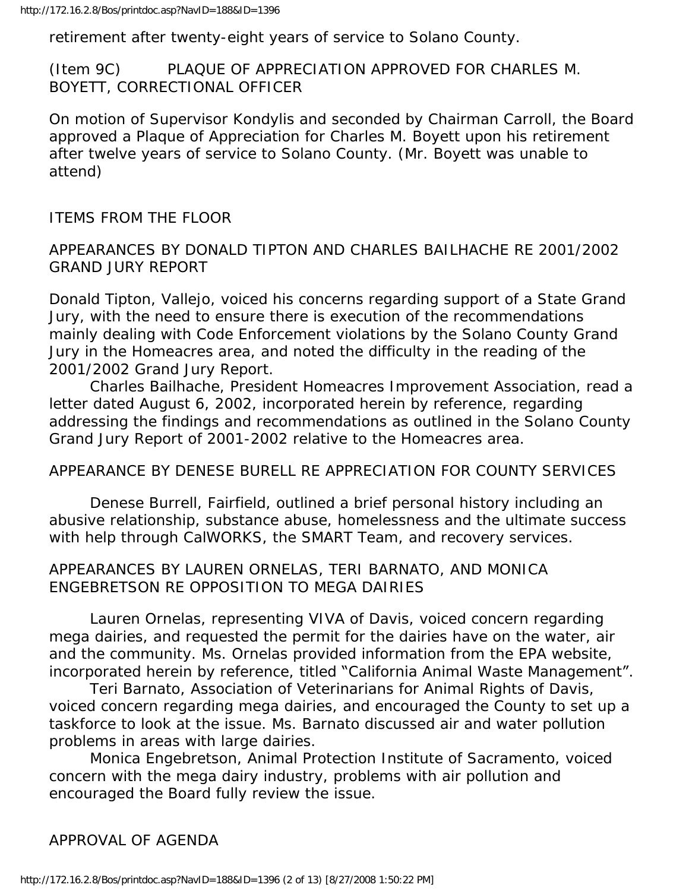retirement after twenty-eight years of service to Solano County.

(Item 9C) PLAQUE OF APPRECIATION APPROVED FOR CHARLES M. BOYETT, CORRECTIONAL OFFICER

On motion of Supervisor Kondylis and seconded by Chairman Carroll, the Board approved a Plaque of Appreciation for Charles M. Boyett upon his retirement after twelve years of service to Solano County. (Mr. Boyett was unable to attend)

### ITEMS FROM THE FLOOR

### APPEARANCES BY DONALD TIPTON AND CHARLES BAILHACHE RE 2001/2002 GRAND JURY REPORT

Donald Tipton, Vallejo, voiced his concerns regarding support of a State Grand Jury, with the need to ensure there is execution of the recommendations mainly dealing with Code Enforcement violations by the Solano County Grand Jury in the Homeacres area, and noted the difficulty in the reading of the 2001/2002 Grand Jury Report.

 Charles Bailhache, President Homeacres Improvement Association, read a letter dated August 6, 2002, incorporated herein by reference, regarding addressing the findings and recommendations as outlined in the Solano County Grand Jury Report of 2001-2002 relative to the Homeacres area.

#### APPEARANCE BY DENESE BURELL RE APPRECIATION FOR COUNTY SERVICES

 Denese Burrell, Fairfield, outlined a brief personal history including an abusive relationship, substance abuse, homelessness and the ultimate success with help through CalWORKS, the SMART Team, and recovery services.

### APPEARANCES BY LAUREN ORNELAS, TERI BARNATO, AND MONICA ENGEBRETSON RE OPPOSITION TO MEGA DAIRIES

 Lauren Ornelas, representing VIVA of Davis, voiced concern regarding mega dairies, and requested the permit for the dairies have on the water, air and the community. Ms. Ornelas provided information from the EPA website, incorporated herein by reference, titled "California Animal Waste Management".

 Teri Barnato, Association of Veterinarians for Animal Rights of Davis, voiced concern regarding mega dairies, and encouraged the County to set up a taskforce to look at the issue. Ms. Barnato discussed air and water pollution problems in areas with large dairies.

 Monica Engebretson, Animal Protection Institute of Sacramento, voiced concern with the mega dairy industry, problems with air pollution and encouraged the Board fully review the issue.

### APPROVAL OF AGENDA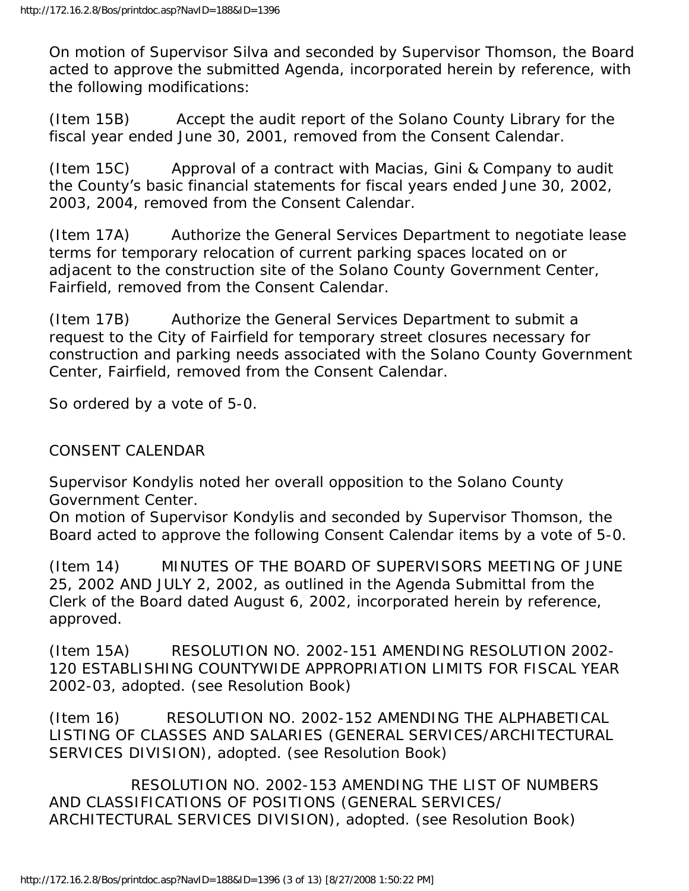On motion of Supervisor Silva and seconded by Supervisor Thomson, the Board acted to approve the submitted Agenda, incorporated herein by reference, with the following modifications:

(Item 15B) Accept the audit report of the Solano County Library for the fiscal year ended June 30, 2001, removed from the Consent Calendar.

(Item 15C) Approval of a contract with Macias, Gini & Company to audit the County's basic financial statements for fiscal years ended June 30, 2002, 2003, 2004, removed from the Consent Calendar.

(Item 17A) Authorize the General Services Department to negotiate lease terms for temporary relocation of current parking spaces located on or adjacent to the construction site of the Solano County Government Center, Fairfield, removed from the Consent Calendar.

(Item 17B) Authorize the General Services Department to submit a request to the City of Fairfield for temporary street closures necessary for construction and parking needs associated with the Solano County Government Center, Fairfield, removed from the Consent Calendar.

So ordered by a vote of 5-0.

# CONSENT CALENDAR

Supervisor Kondylis noted her overall opposition to the Solano County Government Center.

On motion of Supervisor Kondylis and seconded by Supervisor Thomson, the Board acted to approve the following Consent Calendar items by a vote of 5-0.

(Item 14) MINUTES OF THE BOARD OF SUPERVISORS MEETING OF JUNE 25, 2002 AND JULY 2, 2002, as outlined in the Agenda Submittal from the Clerk of the Board dated August 6, 2002, incorporated herein by reference, approved.

(Item 15A) RESOLUTION NO. 2002-151 AMENDING RESOLUTION 2002- 120 ESTABLISHING COUNTYWIDE APPROPRIATION LIMITS FOR FISCAL YEAR 2002-03, adopted. (see Resolution Book)

(Item 16) RESOLUTION NO. 2002-152 AMENDING THE ALPHABETICAL LISTING OF CLASSES AND SALARIES (GENERAL SERVICES/ARCHITECTURAL SERVICES DIVISION), adopted. (see Resolution Book)

 RESOLUTION NO. 2002-153 AMENDING THE LIST OF NUMBERS AND CLASSIFICATIONS OF POSITIONS (GENERAL SERVICES/ ARCHITECTURAL SERVICES DIVISION), adopted. (see Resolution Book)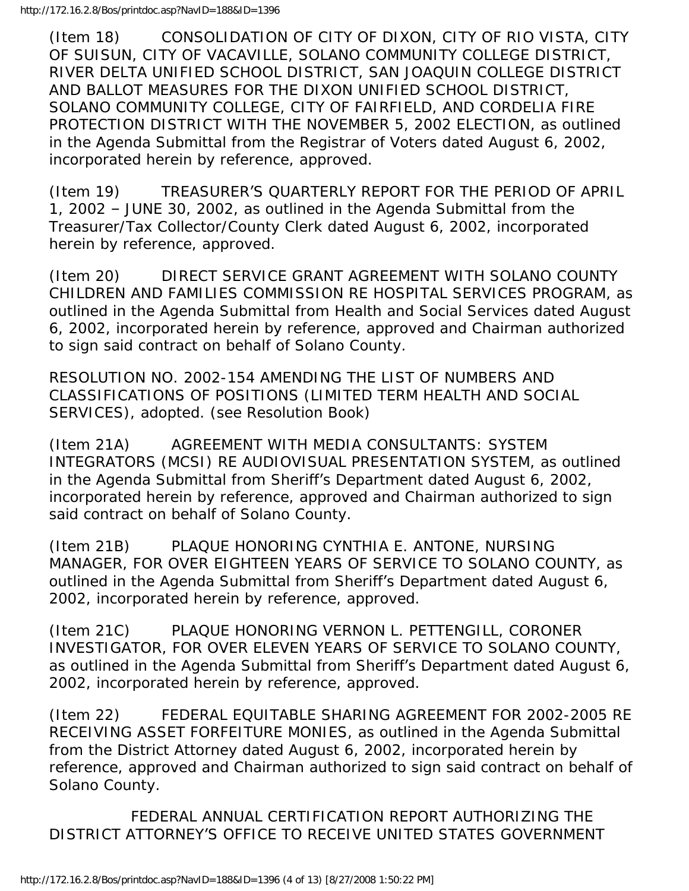(Item 18) CONSOLIDATION OF CITY OF DIXON, CITY OF RIO VISTA, CITY OF SUISUN, CITY OF VACAVILLE, SOLANO COMMUNITY COLLEGE DISTRICT, RIVER DELTA UNIFIED SCHOOL DISTRICT, SAN JOAQUIN COLLEGE DISTRICT AND BALLOT MEASURES FOR THE DIXON UNIFIED SCHOOL DISTRICT, SOLANO COMMUNITY COLLEGE, CITY OF FAIRFIELD, AND CORDELIA FIRE PROTECTION DISTRICT WITH THE NOVEMBER 5, 2002 ELECTION, as outlined in the Agenda Submittal from the Registrar of Voters dated August 6, 2002, incorporated herein by reference, approved.

(Item 19) TREASURER'S QUARTERLY REPORT FOR THE PERIOD OF APRIL 1, 2002 – JUNE 30, 2002, as outlined in the Agenda Submittal from the Treasurer/Tax Collector/County Clerk dated August 6, 2002, incorporated herein by reference, approved.

(Item 20) DIRECT SERVICE GRANT AGREEMENT WITH SOLANO COUNTY CHILDREN AND FAMILIES COMMISSION RE HOSPITAL SERVICES PROGRAM, as outlined in the Agenda Submittal from Health and Social Services dated August 6, 2002, incorporated herein by reference, approved and Chairman authorized to sign said contract on behalf of Solano County.

RESOLUTION NO. 2002-154 AMENDING THE LIST OF NUMBERS AND CLASSIFICATIONS OF POSITIONS (LIMITED TERM HEALTH AND SOCIAL SERVICES), adopted. (see Resolution Book)

(Item 21A) AGREEMENT WITH MEDIA CONSULTANTS: SYSTEM INTEGRATORS (MCSI) RE AUDIOVISUAL PRESENTATION SYSTEM, as outlined in the Agenda Submittal from Sheriff's Department dated August 6, 2002, incorporated herein by reference, approved and Chairman authorized to sign said contract on behalf of Solano County.

(Item 21B) PLAQUE HONORING CYNTHIA E. ANTONE, NURSING MANAGER, FOR OVER EIGHTEEN YEARS OF SERVICE TO SOLANO COUNTY, as outlined in the Agenda Submittal from Sheriff's Department dated August 6, 2002, incorporated herein by reference, approved.

(Item 21C) PLAQUE HONORING VERNON L. PETTENGILL, CORONER INVESTIGATOR, FOR OVER ELEVEN YEARS OF SERVICE TO SOLANO COUNTY, as outlined in the Agenda Submittal from Sheriff's Department dated August 6, 2002, incorporated herein by reference, approved.

(Item 22) FEDERAL EQUITABLE SHARING AGREEMENT FOR 2002-2005 RE RECEIVING ASSET FORFEITURE MONIES, as outlined in the Agenda Submittal from the District Attorney dated August 6, 2002, incorporated herein by reference, approved and Chairman authorized to sign said contract on behalf of Solano County.

 FEDERAL ANNUAL CERTIFICATION REPORT AUTHORIZING THE DISTRICT ATTORNEY'S OFFICE TO RECEIVE UNITED STATES GOVERNMENT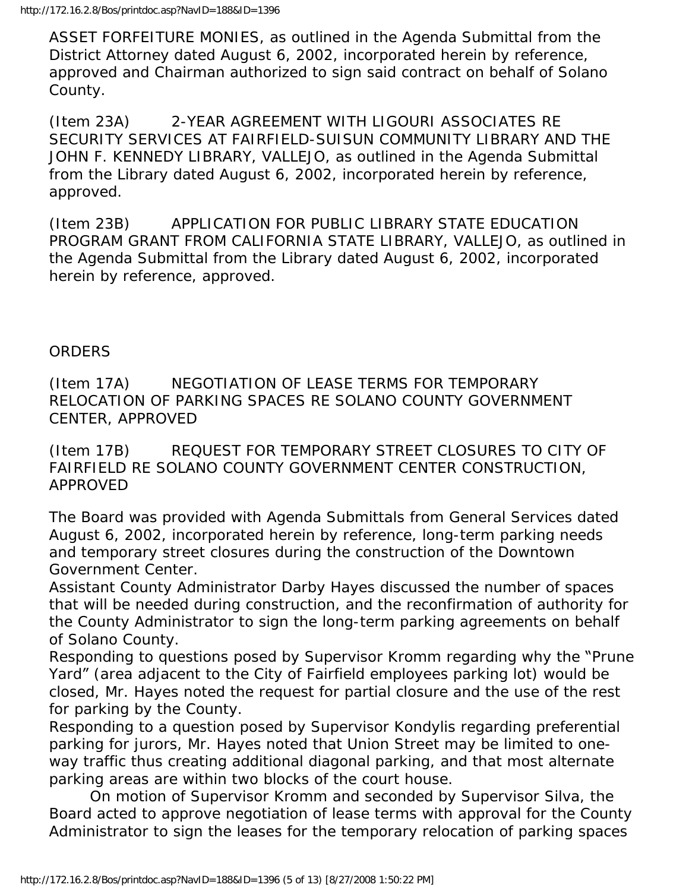ASSET FORFEITURE MONIES, as outlined in the Agenda Submittal from the District Attorney dated August 6, 2002, incorporated herein by reference, approved and Chairman authorized to sign said contract on behalf of Solano County.

(Item 23A) 2-YEAR AGREEMENT WITH LIGOURI ASSOCIATES RE SECURITY SERVICES AT FAIRFIELD-SUISUN COMMUNITY LIBRARY AND THE JOHN F. KENNEDY LIBRARY, VALLEJO, as outlined in the Agenda Submittal from the Library dated August 6, 2002, incorporated herein by reference, approved.

(Item 23B) APPLICATION FOR PUBLIC LIBRARY STATE EDUCATION PROGRAM GRANT FROM CALIFORNIA STATE LIBRARY, VALLEJO, as outlined in the Agenda Submittal from the Library dated August 6, 2002, incorporated herein by reference, approved.

# **ORDERS**

(Item 17A) NEGOTIATION OF LEASE TERMS FOR TEMPORARY RELOCATION OF PARKING SPACES RE SOLANO COUNTY GOVERNMENT CENTER, APPROVED

(Item 17B) REQUEST FOR TEMPORARY STREET CLOSURES TO CITY OF FAIRFIELD RE SOLANO COUNTY GOVERNMENT CENTER CONSTRUCTION, APPROVED

The Board was provided with Agenda Submittals from General Services dated August 6, 2002, incorporated herein by reference, long-term parking needs and temporary street closures during the construction of the Downtown Government Center.

Assistant County Administrator Darby Hayes discussed the number of spaces that will be needed during construction, and the reconfirmation of authority for the County Administrator to sign the long-term parking agreements on behalf of Solano County.

Responding to questions posed by Supervisor Kromm regarding why the "Prune Yard" (area adjacent to the City of Fairfield employees parking lot) would be closed, Mr. Hayes noted the request for partial closure and the use of the rest for parking by the County.

Responding to a question posed by Supervisor Kondylis regarding preferential parking for jurors, Mr. Hayes noted that Union Street may be limited to oneway traffic thus creating additional diagonal parking, and that most alternate parking areas are within two blocks of the court house.

 On motion of Supervisor Kromm and seconded by Supervisor Silva, the Board acted to approve negotiation of lease terms with approval for the County Administrator to sign the leases for the temporary relocation of parking spaces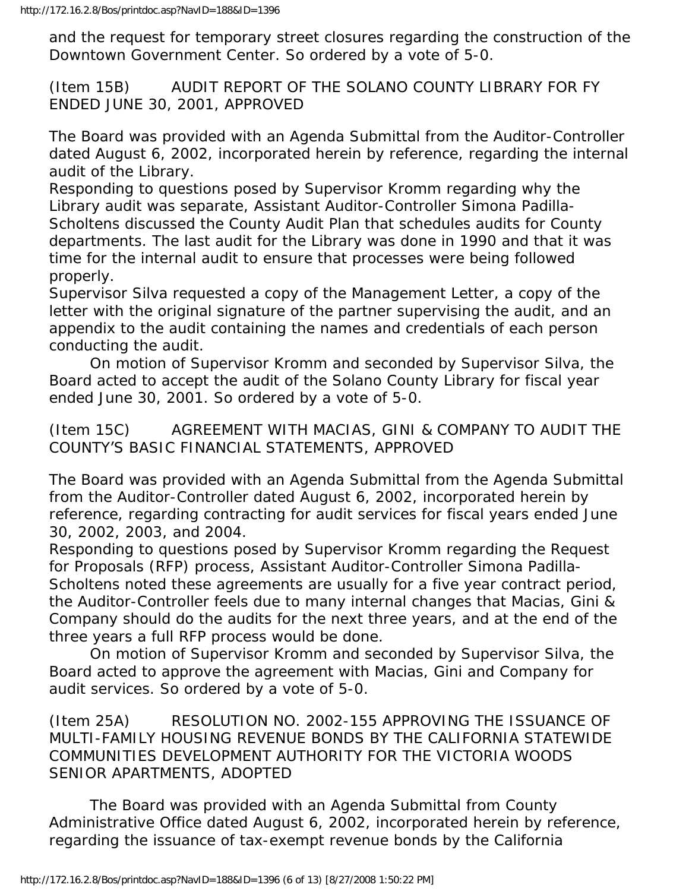and the request for temporary street closures regarding the construction of the Downtown Government Center. So ordered by a vote of 5-0.

(Item 15B) AUDIT REPORT OF THE SOLANO COUNTY LIBRARY FOR FY ENDED JUNE 30, 2001, APPROVED

The Board was provided with an Agenda Submittal from the Auditor-Controller dated August 6, 2002, incorporated herein by reference, regarding the internal audit of the Library.

Responding to questions posed by Supervisor Kromm regarding why the Library audit was separate, Assistant Auditor-Controller Simona Padilla-Scholtens discussed the County Audit Plan that schedules audits for County departments. The last audit for the Library was done in 1990 and that it was time for the internal audit to ensure that processes were being followed properly.

Supervisor Silva requested a copy of the Management Letter, a copy of the letter with the original signature of the partner supervising the audit, and an appendix to the audit containing the names and credentials of each person conducting the audit.

 On motion of Supervisor Kromm and seconded by Supervisor Silva, the Board acted to accept the audit of the Solano County Library for fiscal year ended June 30, 2001. So ordered by a vote of 5-0.

(Item 15C) AGREEMENT WITH MACIAS, GINI & COMPANY TO AUDIT THE COUNTY'S BASIC FINANCIAL STATEMENTS, APPROVED

The Board was provided with an Agenda Submittal from the Agenda Submittal from the Auditor-Controller dated August 6, 2002, incorporated herein by reference, regarding contracting for audit services for fiscal years ended June 30, 2002, 2003, and 2004.

Responding to questions posed by Supervisor Kromm regarding the Request for Proposals (RFP) process, Assistant Auditor-Controller Simona Padilla-Scholtens noted these agreements are usually for a five year contract period, the Auditor-Controller feels due to many internal changes that Macias, Gini & Company should do the audits for the next three years, and at the end of the three years a full RFP process would be done.

 On motion of Supervisor Kromm and seconded by Supervisor Silva, the Board acted to approve the agreement with Macias, Gini and Company for audit services. So ordered by a vote of 5-0.

(Item 25A) RESOLUTION NO. 2002-155 APPROVING THE ISSUANCE OF MULTI-FAMILY HOUSING REVENUE BONDS BY THE CALIFORNIA STATEWIDE COMMUNITIES DEVELOPMENT AUTHORITY FOR THE VICTORIA WOODS SENIOR APARTMENTS, ADOPTED

 The Board was provided with an Agenda Submittal from County Administrative Office dated August 6, 2002, incorporated herein by reference, regarding the issuance of tax-exempt revenue bonds by the California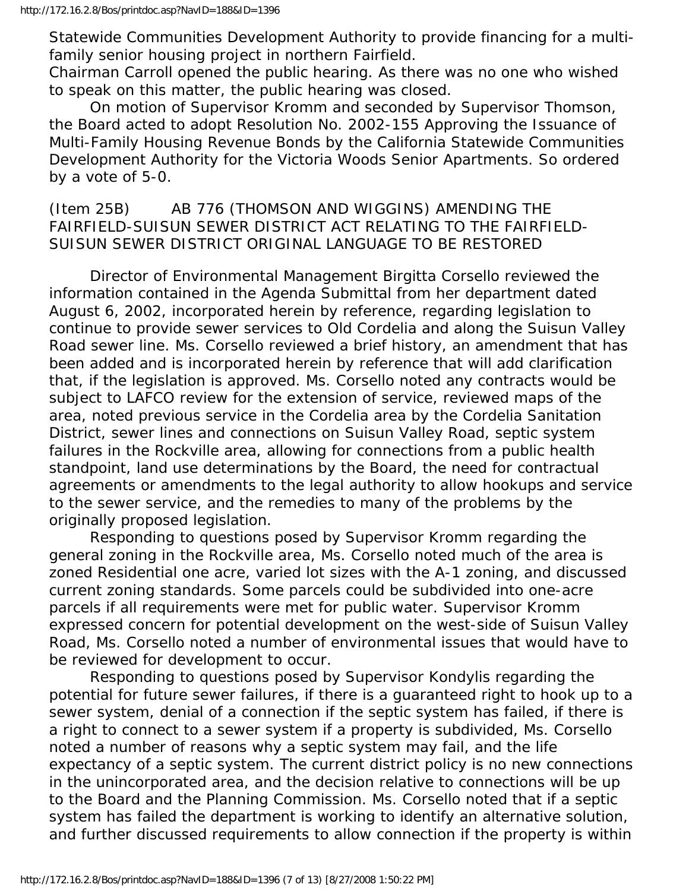Statewide Communities Development Authority to provide financing for a multifamily senior housing project in northern Fairfield.

Chairman Carroll opened the public hearing. As there was no one who wished to speak on this matter, the public hearing was closed.

 On motion of Supervisor Kromm and seconded by Supervisor Thomson, the Board acted to adopt Resolution No. 2002-155 Approving the Issuance of Multi-Family Housing Revenue Bonds by the California Statewide Communities Development Authority for the Victoria Woods Senior Apartments. So ordered by a vote of 5-0.

(Item 25B) AB 776 (THOMSON AND WIGGINS) AMENDING THE FAIRFIELD-SUISUN SEWER DISTRICT ACT RELATING TO THE FAIRFIELD-SUISUN SEWER DISTRICT ORIGINAL LANGUAGE TO BE RESTORED

 Director of Environmental Management Birgitta Corsello reviewed the information contained in the Agenda Submittal from her department dated August 6, 2002, incorporated herein by reference, regarding legislation to continue to provide sewer services to Old Cordelia and along the Suisun Valley Road sewer line. Ms. Corsello reviewed a brief history, an amendment that has been added and is incorporated herein by reference that will add clarification that, if the legislation is approved. Ms. Corsello noted any contracts would be subject to LAFCO review for the extension of service, reviewed maps of the area, noted previous service in the Cordelia area by the Cordelia Sanitation District, sewer lines and connections on Suisun Valley Road, septic system failures in the Rockville area, allowing for connections from a public health standpoint, land use determinations by the Board, the need for contractual agreements or amendments to the legal authority to allow hookups and service to the sewer service, and the remedies to many of the problems by the originally proposed legislation.

 Responding to questions posed by Supervisor Kromm regarding the general zoning in the Rockville area, Ms. Corsello noted much of the area is zoned Residential one acre, varied lot sizes with the A-1 zoning, and discussed current zoning standards. Some parcels could be subdivided into one-acre parcels if all requirements were met for public water. Supervisor Kromm expressed concern for potential development on the west-side of Suisun Valley Road, Ms. Corsello noted a number of environmental issues that would have to be reviewed for development to occur.

 Responding to questions posed by Supervisor Kondylis regarding the potential for future sewer failures, if there is a guaranteed right to hook up to a sewer system, denial of a connection if the septic system has failed, if there is a right to connect to a sewer system if a property is subdivided, Ms. Corsello noted a number of reasons why a septic system may fail, and the life expectancy of a septic system. The current district policy is no new connections in the unincorporated area, and the decision relative to connections will be up to the Board and the Planning Commission. Ms. Corsello noted that if a septic system has failed the department is working to identify an alternative solution, and further discussed requirements to allow connection if the property is within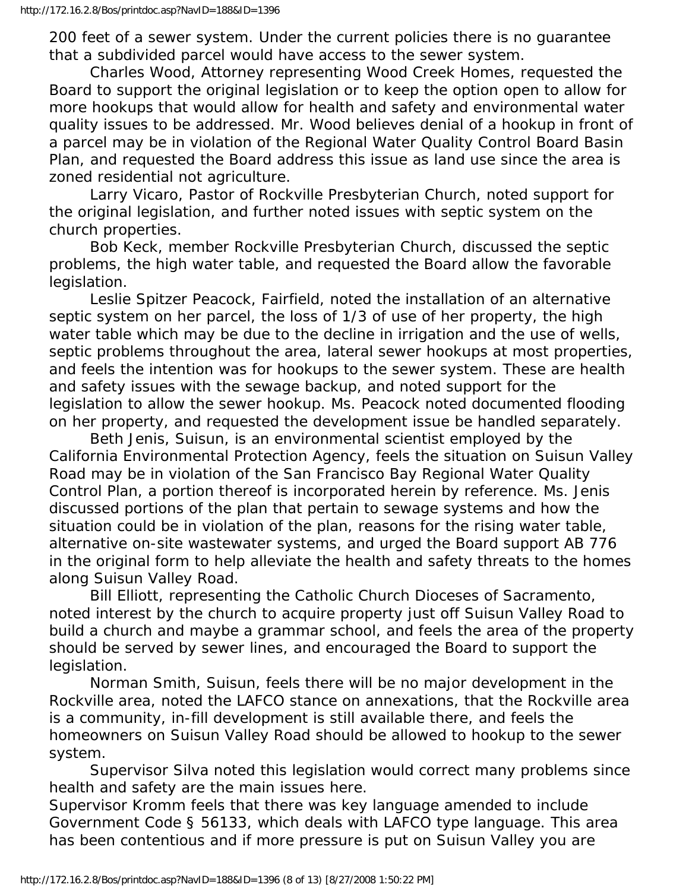200 feet of a sewer system. Under the current policies there is no guarantee that a subdivided parcel would have access to the sewer system.

 Charles Wood, Attorney representing Wood Creek Homes, requested the Board to support the original legislation or to keep the option open to allow for more hookups that would allow for health and safety and environmental water quality issues to be addressed. Mr. Wood believes denial of a hookup in front of a parcel may be in violation of the Regional Water Quality Control Board Basin Plan, and requested the Board address this issue as land use since the area is zoned residential not agriculture.

 Larry Vicaro, Pastor of Rockville Presbyterian Church, noted support for the original legislation, and further noted issues with septic system on the church properties.

 Bob Keck, member Rockville Presbyterian Church, discussed the septic problems, the high water table, and requested the Board allow the favorable legislation.

 Leslie Spitzer Peacock, Fairfield, noted the installation of an alternative septic system on her parcel, the loss of 1/3 of use of her property, the high water table which may be due to the decline in irrigation and the use of wells, septic problems throughout the area, lateral sewer hookups at most properties, and feels the intention was for hookups to the sewer system. These are health and safety issues with the sewage backup, and noted support for the legislation to allow the sewer hookup. Ms. Peacock noted documented flooding on her property, and requested the development issue be handled separately.

 Beth Jenis, Suisun, is an environmental scientist employed by the California Environmental Protection Agency, feels the situation on Suisun Valley Road may be in violation of the San Francisco Bay Regional Water Quality Control Plan, a portion thereof is incorporated herein by reference. Ms. Jenis discussed portions of the plan that pertain to sewage systems and how the situation could be in violation of the plan, reasons for the rising water table, alternative on-site wastewater systems, and urged the Board support AB 776 in the original form to help alleviate the health and safety threats to the homes along Suisun Valley Road.

 Bill Elliott, representing the Catholic Church Dioceses of Sacramento, noted interest by the church to acquire property just off Suisun Valley Road to build a church and maybe a grammar school, and feels the area of the property should be served by sewer lines, and encouraged the Board to support the legislation.

 Norman Smith, Suisun, feels there will be no major development in the Rockville area, noted the LAFCO stance on annexations, that the Rockville area is a community, in-fill development is still available there, and feels the homeowners on Suisun Valley Road should be allowed to hookup to the sewer system.

 Supervisor Silva noted this legislation would correct many problems since health and safety are the main issues here.

Supervisor Kromm feels that there was key language amended to include Government Code § 56133, which deals with LAFCO type language. This area has been contentious and if more pressure is put on Suisun Valley you are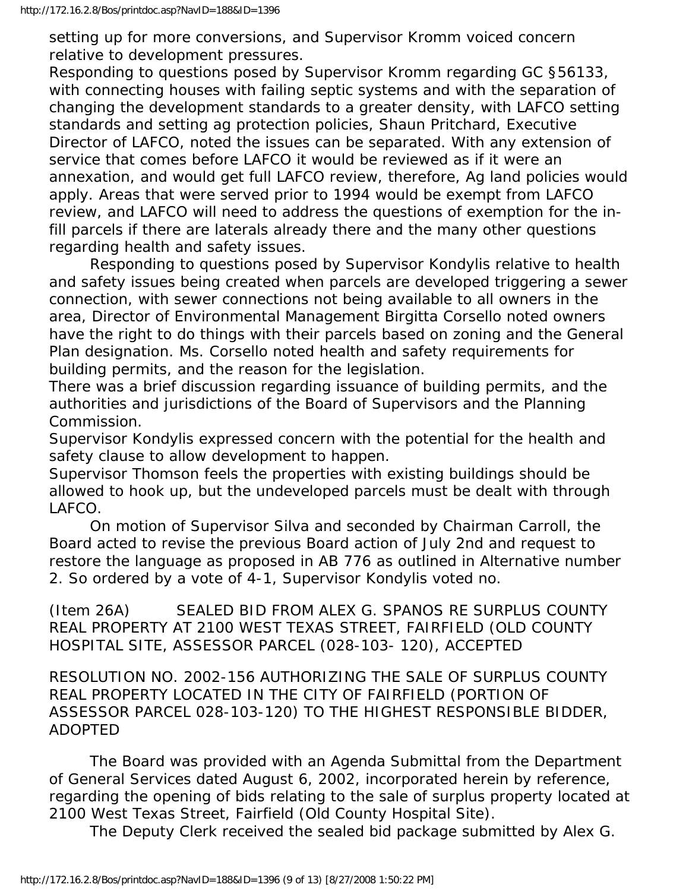setting up for more conversions, and Supervisor Kromm voiced concern relative to development pressures.

Responding to questions posed by Supervisor Kromm regarding GC §56133, with connecting houses with failing septic systems and with the separation of changing the development standards to a greater density, with LAFCO setting standards and setting ag protection policies, Shaun Pritchard, Executive Director of LAFCO, noted the issues can be separated. With any extension of service that comes before LAFCO it would be reviewed as if it were an annexation, and would get full LAFCO review, therefore, Ag land policies would apply. Areas that were served prior to 1994 would be exempt from LAFCO review, and LAFCO will need to address the questions of exemption for the infill parcels if there are laterals already there and the many other questions regarding health and safety issues.

 Responding to questions posed by Supervisor Kondylis relative to health and safety issues being created when parcels are developed triggering a sewer connection, with sewer connections not being available to all owners in the area, Director of Environmental Management Birgitta Corsello noted owners have the right to do things with their parcels based on zoning and the General Plan designation. Ms. Corsello noted health and safety requirements for building permits, and the reason for the legislation.

There was a brief discussion regarding issuance of building permits, and the authorities and jurisdictions of the Board of Supervisors and the Planning Commission.

Supervisor Kondylis expressed concern with the potential for the health and safety clause to allow development to happen.

Supervisor Thomson feels the properties with existing buildings should be allowed to hook up, but the undeveloped parcels must be dealt with through LAFCO.

 On motion of Supervisor Silva and seconded by Chairman Carroll, the Board acted to revise the previous Board action of July 2nd and request to restore the language as proposed in AB 776 as outlined in Alternative number 2. So ordered by a vote of 4-1, Supervisor Kondylis voted no.

(Item 26A) SEALED BID FROM ALEX G. SPANOS RE SURPLUS COUNTY REAL PROPERTY AT 2100 WEST TEXAS STREET, FAIRFIELD (OLD COUNTY HOSPITAL SITE, ASSESSOR PARCEL (028-103- 120), ACCEPTED

RESOLUTION NO. 2002-156 AUTHORIZING THE SALE OF SURPLUS COUNTY REAL PROPERTY LOCATED IN THE CITY OF FAIRFIELD (PORTION OF ASSESSOR PARCEL 028-103-120) TO THE HIGHEST RESPONSIBLE BIDDER, ADOPTED

 The Board was provided with an Agenda Submittal from the Department of General Services dated August 6, 2002, incorporated herein by reference, regarding the opening of bids relating to the sale of surplus property located at 2100 West Texas Street, Fairfield (Old County Hospital Site).

The Deputy Clerk received the sealed bid package submitted by Alex G.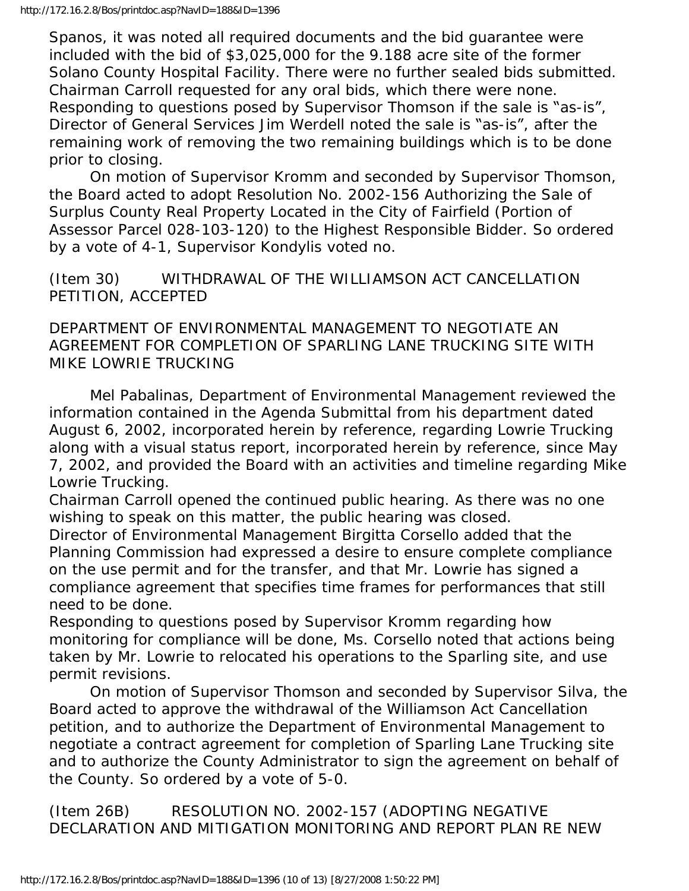Spanos, it was noted all required documents and the bid guarantee were included with the bid of \$3,025,000 for the 9.188 acre site of the former Solano County Hospital Facility. There were no further sealed bids submitted. Chairman Carroll requested for any oral bids, which there were none. Responding to questions posed by Supervisor Thomson if the sale is "as-is", Director of General Services Jim Werdell noted the sale is "as-is", after the remaining work of removing the two remaining buildings which is to be done prior to closing.

 On motion of Supervisor Kromm and seconded by Supervisor Thomson, the Board acted to adopt Resolution No. 2002-156 Authorizing the Sale of Surplus County Real Property Located in the City of Fairfield (Portion of Assessor Parcel 028-103-120) to the Highest Responsible Bidder. So ordered by a vote of 4-1, Supervisor Kondylis voted no.

(Item 30) WITHDRAWAL OF THE WILLIAMSON ACT CANCELLATION PETITION, ACCEPTED

DEPARTMENT OF ENVIRONMENTAL MANAGEMENT TO NEGOTIATE AN AGREEMENT FOR COMPLETION OF SPARLING LANE TRUCKING SITE WITH MIKE LOWRIE TRUCKING

 Mel Pabalinas, Department of Environmental Management reviewed the information contained in the Agenda Submittal from his department dated August 6, 2002, incorporated herein by reference, regarding Lowrie Trucking along with a visual status report, incorporated herein by reference, since May 7, 2002, and provided the Board with an activities and timeline regarding Mike Lowrie Trucking.

Chairman Carroll opened the continued public hearing. As there was no one wishing to speak on this matter, the public hearing was closed.

Director of Environmental Management Birgitta Corsello added that the Planning Commission had expressed a desire to ensure complete compliance on the use permit and for the transfer, and that Mr. Lowrie has signed a compliance agreement that specifies time frames for performances that still need to be done.

Responding to questions posed by Supervisor Kromm regarding how monitoring for compliance will be done, Ms. Corsello noted that actions being taken by Mr. Lowrie to relocated his operations to the Sparling site, and use permit revisions.

 On motion of Supervisor Thomson and seconded by Supervisor Silva, the Board acted to approve the withdrawal of the Williamson Act Cancellation petition, and to authorize the Department of Environmental Management to negotiate a contract agreement for completion of Sparling Lane Trucking site and to authorize the County Administrator to sign the agreement on behalf of the County. So ordered by a vote of 5-0.

(Item 26B) RESOLUTION NO. 2002-157 (ADOPTING NEGATIVE DECLARATION AND MITIGATION MONITORING AND REPORT PLAN RE NEW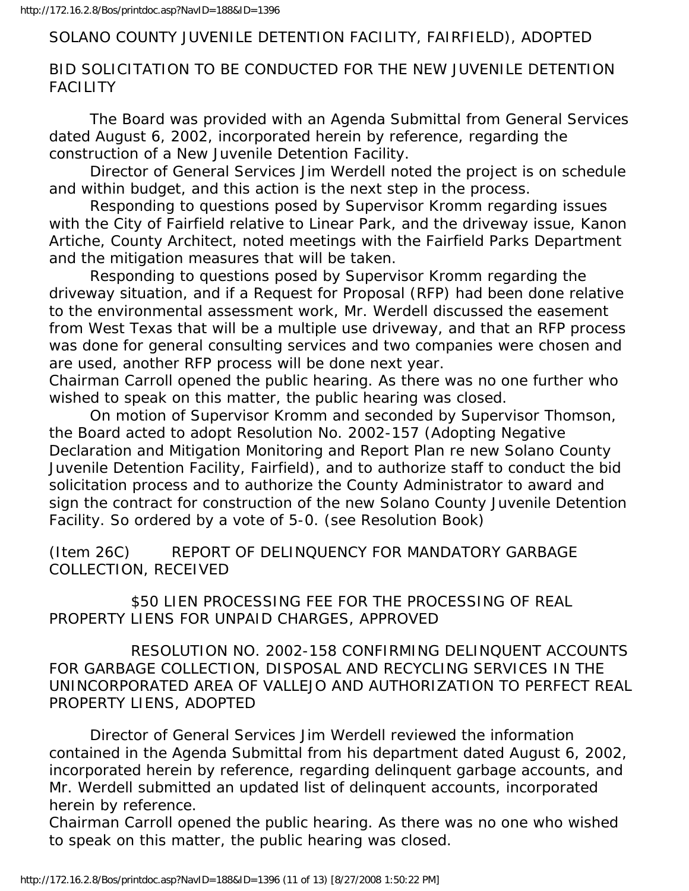#### SOLANO COUNTY JUVENILE DETENTION FACILITY, FAIRFIELD), ADOPTED

# BID SOLICITATION TO BE CONDUCTED FOR THE NEW JUVENILE DETENTION FACILITY

 The Board was provided with an Agenda Submittal from General Services dated August 6, 2002, incorporated herein by reference, regarding the construction of a New Juvenile Detention Facility.

 Director of General Services Jim Werdell noted the project is on schedule and within budget, and this action is the next step in the process.

 Responding to questions posed by Supervisor Kromm regarding issues with the City of Fairfield relative to Linear Park, and the driveway issue, Kanon Artiche, County Architect, noted meetings with the Fairfield Parks Department and the mitigation measures that will be taken.

 Responding to questions posed by Supervisor Kromm regarding the driveway situation, and if a Request for Proposal (RFP) had been done relative to the environmental assessment work, Mr. Werdell discussed the easement from West Texas that will be a multiple use driveway, and that an RFP process was done for general consulting services and two companies were chosen and are used, another RFP process will be done next year.

Chairman Carroll opened the public hearing. As there was no one further who wished to speak on this matter, the public hearing was closed.

 On motion of Supervisor Kromm and seconded by Supervisor Thomson, the Board acted to adopt Resolution No. 2002-157 (Adopting Negative Declaration and Mitigation Monitoring and Report Plan re new Solano County Juvenile Detention Facility, Fairfield), and to authorize staff to conduct the bid solicitation process and to authorize the County Administrator to award and sign the contract for construction of the new Solano County Juvenile Detention Facility. So ordered by a vote of 5-0. (see Resolution Book)

(Item 26C) REPORT OF DELINQUENCY FOR MANDATORY GARBAGE COLLECTION, RECEIVED

 \$50 LIEN PROCESSING FEE FOR THE PROCESSING OF REAL PROPERTY LIENS FOR UNPAID CHARGES, APPROVED

 RESOLUTION NO. 2002-158 CONFIRMING DELINQUENT ACCOUNTS FOR GARBAGE COLLECTION, DISPOSAL AND RECYCLING SERVICES IN THE UNINCORPORATED AREA OF VALLEJO AND AUTHORIZATION TO PERFECT REAL PROPERTY LIENS, ADOPTED

 Director of General Services Jim Werdell reviewed the information contained in the Agenda Submittal from his department dated August 6, 2002, incorporated herein by reference, regarding delinquent garbage accounts, and Mr. Werdell submitted an updated list of delinquent accounts, incorporated herein by reference.

Chairman Carroll opened the public hearing. As there was no one who wished to speak on this matter, the public hearing was closed.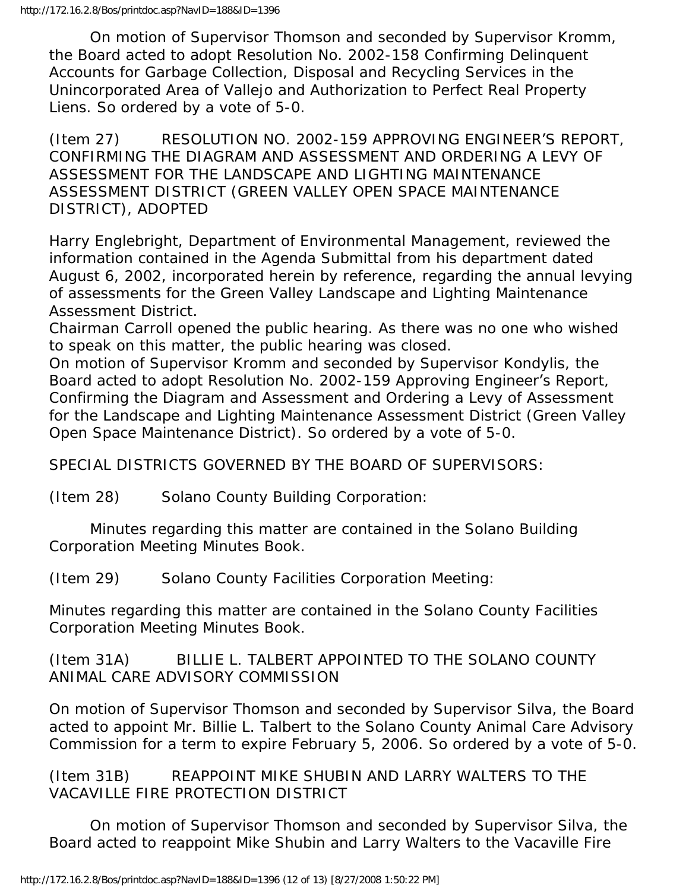On motion of Supervisor Thomson and seconded by Supervisor Kromm, the Board acted to adopt Resolution No. 2002-158 Confirming Delinquent Accounts for Garbage Collection, Disposal and Recycling Services in the Unincorporated Area of Vallejo and Authorization to Perfect Real Property Liens. So ordered by a vote of 5-0.

(Item 27) RESOLUTION NO. 2002-159 APPROVING ENGINEER'S REPORT, CONFIRMING THE DIAGRAM AND ASSESSMENT AND ORDERING A LEVY OF ASSESSMENT FOR THE LANDSCAPE AND LIGHTING MAINTENANCE ASSESSMENT DISTRICT (GREEN VALLEY OPEN SPACE MAINTENANCE DISTRICT), ADOPTED

Harry Englebright, Department of Environmental Management, reviewed the information contained in the Agenda Submittal from his department dated August 6, 2002, incorporated herein by reference, regarding the annual levying of assessments for the Green Valley Landscape and Lighting Maintenance Assessment District.

Chairman Carroll opened the public hearing. As there was no one who wished to speak on this matter, the public hearing was closed.

On motion of Supervisor Kromm and seconded by Supervisor Kondylis, the Board acted to adopt Resolution No. 2002-159 Approving Engineer's Report, Confirming the Diagram and Assessment and Ordering a Levy of Assessment for the Landscape and Lighting Maintenance Assessment District (Green Valley Open Space Maintenance District). So ordered by a vote of 5-0.

SPECIAL DISTRICTS GOVERNED BY THE BOARD OF SUPERVISORS:

(Item 28) Solano County Building Corporation:

 Minutes regarding this matter are contained in the Solano Building Corporation Meeting Minutes Book.

(Item 29) Solano County Facilities Corporation Meeting:

Minutes regarding this matter are contained in the Solano County Facilities Corporation Meeting Minutes Book.

(Item 31A) BILLIE L. TALBERT APPOINTED TO THE SOLANO COUNTY ANIMAL CARE ADVISORY COMMISSION

On motion of Supervisor Thomson and seconded by Supervisor Silva, the Board acted to appoint Mr. Billie L. Talbert to the Solano County Animal Care Advisory Commission for a term to expire February 5, 2006. So ordered by a vote of 5-0.

(Item 31B) REAPPOINT MIKE SHUBIN AND LARRY WALTERS TO THE VACAVILLE FIRE PROTECTION DISTRICT

 On motion of Supervisor Thomson and seconded by Supervisor Silva, the Board acted to reappoint Mike Shubin and Larry Walters to the Vacaville Fire